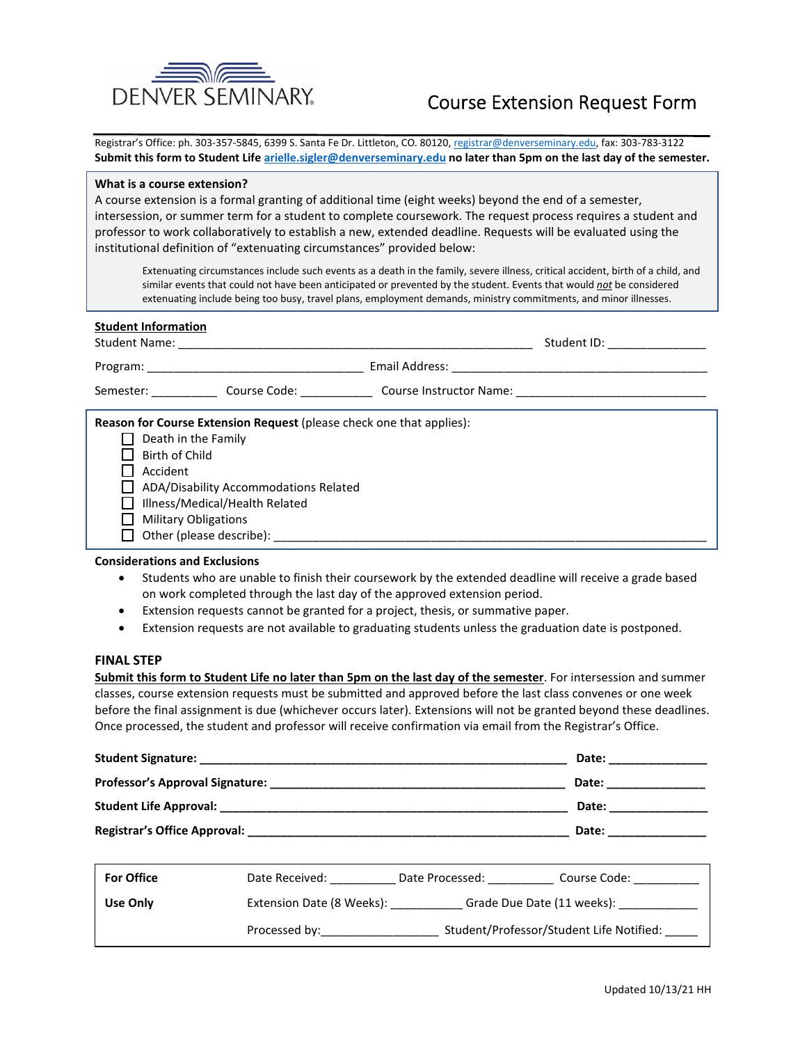

# Course Extension Request Form

Registrar's Office: ph. 303-357-5845, 6399 S. Santa Fe Dr. Littleton, CO. 80120, registrar@denverseminary.edu, fax: 303-783-3122 **Submit this form to Student Life arielle.sigler@denverseminary.edu no later than 5pm on the last day of the semester.**

### **What is a course extension?**

A course extension is a formal granting of additional time (eight weeks) beyond the end of a semester, intersession, or summer term for a student to complete coursework. The request process requires a student and professor to work collaboratively to establish a new, extended deadline. Requests will be evaluated using the institutional definition of "extenuating circumstances" provided below:

Extenuating circumstances include such events as a death in the family, severe illness, critical accident, birth of a child, and similar events that could not have been anticipated or prevented by the student. Events that would *not* be considered extenuating include being too busy, travel plans, employment demands, ministry commitments, and minor illnesses.

| <b>Student Information</b>                                                                                                                                                                                                                        | Student ID: ________________ |
|---------------------------------------------------------------------------------------------------------------------------------------------------------------------------------------------------------------------------------------------------|------------------------------|
|                                                                                                                                                                                                                                                   |                              |
| Semester: Course Course Code: Course Instructor Name: Communication Course Instructor Name:                                                                                                                                                       |                              |
| <b>Reason for Course Extension Request</b> (please check one that applies):<br>Death in the Family<br><b>Birth of Child</b><br>Accident<br>ADA/Disability Accommodations Related<br>Illness/Medical/Health Related<br><b>Military Obligations</b> |                              |

## **Considerations and Exclusions**

- Students who are unable to finish their coursework by the extended deadline will receive a grade based on work completed through the last day of the approved extension period.
- Extension requests cannot be granted for a project, thesis, or summative paper.
- Extension requests are not available to graduating students unless the graduation date is postponed.

### **FINAL STEP**

**Submit this form to Student Life no later than 5pm on the last day of the semester**. For intersession and summer classes, course extension requests must be submitted and approved before the last class convenes or one week before the final assignment is due (whichever occurs later). Extensions will not be granted beyond these deadlines. Once processed, the student and professor will receive confirmation via email from the Registrar's Office.

| Student Signature: The Student Signature: | Date: |
|-------------------------------------------|-------|
| Professor's Approval Signature: _         | Date: |
| <b>Student Life Approval:</b>             | Date: |
| Registrar's Office Approval:              | Date: |

| <b>For Office</b> | Date Received:<br>Course Code:<br>Date Processed:         |  |
|-------------------|-----------------------------------------------------------|--|
| Use Only          | Extension Date (8 Weeks):<br>Grade Due Date (11 weeks):   |  |
|                   | Student/Professor/Student Life Notified:<br>Processed by: |  |